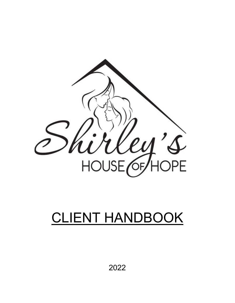

# CLIENT HANDBOOK

2022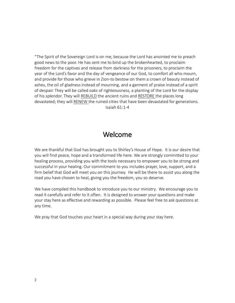"The Spirit of the Sovereign Lord is on me, because the Lord has anointed me to preach good news to the poor. He has sent me to bind up the brokenhearted, to proclaim freedom for the captives and release from darkness for the prisoners, to proclaim the year of the Lord's favor and the day of vengeance of our God, to comfort all who mourn, and provide for those who grieve in Zion-to bestow on them a crown of beauty instead of ashes, the oil of gladness instead of mourning, and a garment of praise instead of a spirit of despair. They will be called oaks of righteousness, a planting of the Lord for the display of his splendor. They will REBUILD the ancient ruins and RESTORE the places long devastated; they will RENEW the ruined cities that have been devastated for generations. Isaiah 61:1-4

### Welcome

We are thankful that God has brought you to Shirley's House of Hope. It is our desire that you will find peace, hope and a transformed life here. We are strongly committed to your healing process, providing you with the tools necessary to empower you to be strong and successful in your healing. Our commitment to you includes prayer, love, support, and a firm belief that God will meet you on this journey. He will be there to assist you along the road you have chosen to heal, giving you the freedom, you so deserve.

We have compiled this handbook to introduce you to our ministry. We encourage you to read it carefully and refer to it often. It is designed to answer your questions and make your stay here as effective and rewarding as possible. Please feel free to ask questions at any time.

We pray that God touches your heart in a special way during your stay here.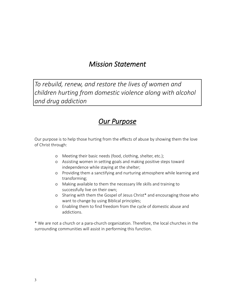### *Mission Statement*

*To rebuild, renew, and restore the lives of women and children hurting from domestic violence along with alcohol and drug addiction*

### *Our Purpose*

Our purpose is to help those hurting from the effects of abuse by showing them the love of Christ through:

- o Meeting their basic needs (food, clothing, shelter, etc.);
- o Assisting women in setting goals and making positive steps toward independence while staying at the shelter;
- o Providing them a sanctifying and nurturing atmosphere while learning and transforming;
- o Making available to them the necessary life skills and training to successfully live on their own;
- o Sharing with them the Gospel of Jesus Christ\* and encouraging those who want to change by using Biblical principles;
- o Enabling them to find freedom from the cycle of domestic abuse and addictions.

\* We are not a church or a para-church organization. Therefore, the local churches in the surrounding communities will assist in performing this function.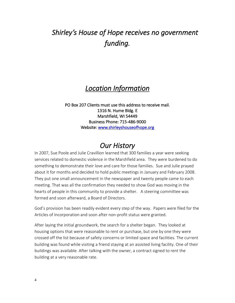# *Shirley's House of Hope receives no government funding.*

### *Location Information*

PO Box 207 Clients must use this address to receive mail. 1316 N. Hume Bldg. E Marshfield, WI 54449 Business Phone: 715-486-9000 Website: [www.shirleyshouseofhope.org](http://www.shirleyshouseofhope.org/)

### *Our History*

In 2007, Sue Poole and Julie Cravillion learned that 300 families a year were seeking services related to domestic violence in the Marshfield area. They were burdened to do something to demonstrate their love and care for those families. Sue and Julie prayed about it for months and decided to hold public meetings in January and February 2008. They put one small announcement in the newspaper and twenty people came to each meeting. That was all the confirmation they needed to show God was moving in the hearts of people in this community to provide a shelter. A steering committee was formed and soon afterward, a Board of Directors.

God's provision has been readily evident every step of the way. Papers were filed for the Articles of Incorporation and soon after non-profit status were granted.

After laying the initial groundwork, the search for a shelter began. They looked at housing options that were reasonable to rent or purchase, but one by one they were crossed off the list because of safety concerns or limited space and facilities. The current building was found while visiting a friend staying at an assisted living facility. One of their buildings was available. After talking with the owner, a contract signed to rent the building at a very reasonable rate.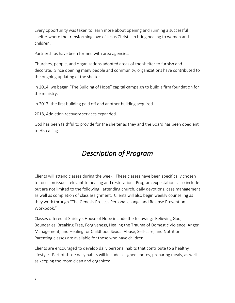Every opportunity was taken to learn more about opening and running a successful shelter where the transforming love of Jesus Christ can bring healing to women and children.

Partnerships have been formed with area agencies.

Churches, people, and organizations adopted areas of the shelter to furnish and decorate. Since opening many people and community, organizations have contributed to the ongoing updating of the shelter.

In 2014, we began "The Building of Hope" capital campaign to build a firm foundation for the ministry.

In 2017, the first building paid off and another building acquired.

2018, Addiction recovery services expanded.

God has been faithful to provide for the shelter as they and the Board has been obedient to His calling.

# *Description of Program*

Clients will attend classes during the week. These classes have been specifically chosen to focus on issues relevant to healing and restoration. Program expectations also include but are not limited to the following: attending church, daily devotions, case management as well as completion of class assignment. Clients will also begin weekly counseling as they work through "The Genesis Process Personal change and Relapse Prevention Workbook<sup>"</sup>

Classes offered at Shirley's House of Hope include the following: Believing God, Boundaries, Breaking Free, Forgiveness, Healing the Trauma of Domestic Violence, Anger Management, and Healing for Childhood Sexual Abuse, Self-care, and Nutrition. Parenting classes are available for those who have children.

Clients are encouraged to develop daily personal habits that contribute to a healthy lifestyle. Part of those daily habits will include assigned chores, preparing meals, as well as keeping the room clean and organized.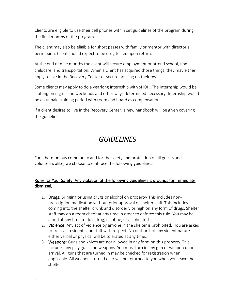Clients are eligible to use their cell phones within set guidelines of the program during the final months of the program.

The client may also be eligible for short passes with family or mentor with director's permission. Client should expect to be drug tested upon return.

At the end of nine months the client will secure employment or attend school, find childcare, and transportation. When a client has acquired those things, they may either apply to live in the Recovery Center or secure housing on their own.

Some clients may apply to do a yearlong internship with SHOH. The internship would be staffing on nights and weekends and other ways determined necessary. Internship would be an unpaid training period with room and board as compensation.

If a client desires to live in the Recovery Center, a new handbook will be given covering the guidelines.

### *GUIDELINES*

For a harmonious community and for the safety and protection of all guests and volunteers alike, we choose to embrace the following guidelines:

#### Rules for Your Safety: Any violation of the following guidelines is grounds for immediate dismissal,

- 1. Drugs: Bringing or using drugs or alcohol on property- This includes nonprescription medication without prior approval of shelter staff. This includes coming into the shelter drunk and disorderly or high on any form of drugs. Shelter staff may do a room check at any time in order to enforce this rule. You may be asked at any time to do a drug, nicotine, or alcohol test.
- 2. Violence: Any act of violence by anyone in the shelter is prohibited. You are asked to treat all residents and staff with respect. No outburst of any violent nature either verbal or physical will be tolerated at any time..
- 3. Weapons: Guns and knives are not allowed in any form on this property. This includes any play guns and weapons. You must turn in any gun or weapon upon arrival. All guns that are turned in may be checked for registration when applicable. All weapons turned over will be returned to you when you leave the shelter.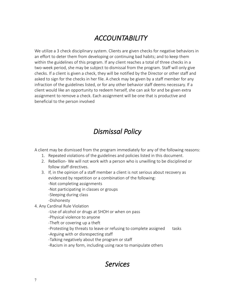# *ACCOUNTABILITY*

We utilize a 3 check disciplinary system. Clients are given checks for negative behaviors in an effort to deter them from developing or continuing bad habits; and to keep them within the guidelines of this program. If any client reaches a total of three checks in a two-week period, she may be subject to dismissal from the program. Staff will only give checks. If a client is given a check, they will be notified by the Director or other staff and asked to sign for the checks in her file. A check may be given by a staff member for any infraction of the guidelines listed, or for any other behavior staff deems necessary. If a client would like an opportunity to redeem herself, she can ask for and be given extra assignment to remove a check. Each assignment will be one that is productive and beneficial to the person involved

# *Dismissal Policy*

A client may be dismissed from the program immediately for any of the following reasons:

- 1. Repeated violations of the guidelines and policies listed in this document.
- 2. Rebellion- We will not work with a person who is unwilling to be disciplined or follow staff directives.
- 3. If, in the opinion of a staff member a client is not serious about recovery as evidenced by repetition or a combination of the following:
	- -Not completing assignments
	- -Not participating in classes or groups
	- -Sleeping during class
	- -Dishonesty
- 4. Any Cardinal Rule Violation
	- -Use of alcohol or drugs at SHOH or when on pass
	- -Physical violence to anyone
	- -Theft or covering up a theft
	- -Protesting by threats to leave or refusing to complete assigned tasks
	- -Arguing with or disrespecting staff
	- -Talking negatively about the program or staff
	- -Racism in any form, including using race to manipulate others

### *Services*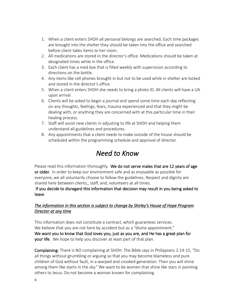- 1. When a client enters SHOH all personal belongs are searched. Each time packages are brought into the shelter they should be taken into the office and searched before client takes items to her room.
- 2. All medications are stored in the director's office. Medications should be taken at designated times while in the office.
- 3. Each client has a med box that is filled weekly with supervision according to directions on the bottle.
- 4. Any items like cell phones brought in but not to be used while in shelter are locked and stored in the director's office.
- 5. When a client enters SHOH she needs to bring a photo ID. All clients will have a UA upon arrival.
- 6. Clients will be asked to begin a journal and spend some time each day reflecting on any thoughts, feelings, fears, trauma experienced and that they might be dealing with, or anything they are concerned with at this particular time in their healing process.
- 7. Staff will assist new clients in adjusting to life at SHOH and helping them understand all guidelines and procedures.
- 8. Any appointments that a client needs to make outside of the house should be scheduled within the programming schedule and approval of director.

# *Need to Know*

Please read this information thoroughly. We do not serve males that are 12 years of age or older. In order to keep our environment safe and as enjoyable as possible for everyone, we all voluntarily choose to follow the guidelines. Respect and dignity are shared here between clients,, staff, and, volunteers at all times.

#### If you decide to disregard this information that decision may result in you being asked to leave

#### *The information in this section is subject to change by Shirley's House of Hope Program Director at any time*

This information does not constitute a contract, which guarantees services. We believe that you are not here by accident but as a "divine appointment." We want you to know that God loves you, just as you are, and He has a great plan for **your life**. We hope to help you discover at least part of that plan.

Complaining: There is NO complaining at SHOH. The Bible says in Philippians 2:14-15, "Do all things without grumbling or arguing so that you may become blameless and pure children of God without fault, in a warped and crooked generation. Then you will shine among them like starts in the sky." We want to be women that shine like stars in pointing others to Jesus. Do not become a woman known for complaining.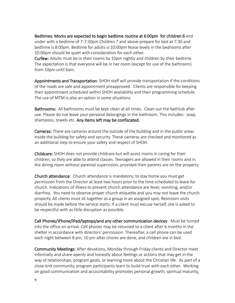Bedtimes: Moms are expected to begin bedtime routine at 6:00pm for children 6 and under with a bedtime of 7-7:30pm Children 7 and above prepare for bed at 7:30 and bedtime is 8:00pm. Bedtime for adults is 10:00pm Noise levels in the bedrooms after 10:00pm should be quiet with consideration for each other.

Curfew: Adults must be in their rooms by 10pm nightly and children by their bedtime. The expectation is that everyone will be in her room (except for use of the bathroom) from 10pm until 6am.

Appointments and Transportation: SHOH staff will provide transportation if the conditions of the roads are safe and appointment preapproved. Clients are responsible for keeping their appointment scheduled within SHOH availability and their programming schedule. The use of MTM is also an option in some situations.

Bathrooms: All bathrooms must be kept clean at all times. Clean out the bathtub after use. Please do not leave your personal belongings in the bathroom. This includes: soap, shampoos, towels etc. Any items left may be confiscated.

Cameras: There are cameras around the outside of the building and in the public areas inside the building for safety and security. These cameras are checked and monitored as an additional step to ensure your safety and respect of SHOH.

Childcare: SHOH does not provide childcare but will assist moms in caring for their children, so they are able to attend classes. Teenagers are allowed in their rooms and in the dining room without parental supervision, provided their parents are on the property.

Church attendance: Church attendance is mandatory; to stay home you must get permission from the Director at least two hours prior to the time scheduled to leave for church. Indications of illness to prevent church attendance are fever, vomiting, and/or diarrhea. You need to observe proper church etiquette and you may not leave the church property. All clients must sit together as a group in an assigned spot. Restroom visits should be made before the service starts. If a client must excuse herself, she is asked to be respectful with as little disruption as possible.

Cell Phones/iPhone/iPad/laptops/and any other communication devices: Must be turned into the office on arrival. Cell phones may be returned to a client after 6 months in the shelter in accordance with directors' permission. Thereafter, a cell phone can be used each night between 8 pm, 10 pm after chores are done, and children are in bed.

Community Meetings: After devotions, Monday through Friday clients and Director meet informally and share openly and honestly about feelings or actions that may get in the way of relationships, program goals, or learning more about the Christian life. As part of a close-knit community, program participants learn to build trust with each other. Working on good communication and accountability promotes personal growth, spiritual maturity,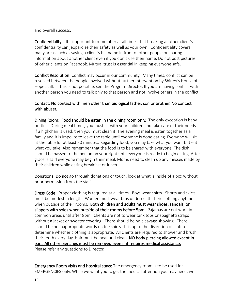and overall success.

Confidentiality: It's important to remember at all times that breaking another client's confidentiality can jeopardize their safety as well as your own. Confidentiality covers many areas such as saying a client's full name in front of other people or sharing information about another client even if you don't use their name. Do not post pictures of other clients on Facebook. Mutual trust is essential in keeping everyone safe.

Conflict Resolution: Conflict may occur in our community. Many times, conflict can be resolved between the people involved without further intervention by Shirley's House of Hope staff. If this is not possible, see the Program Director. If you are having conflict with another person you need to talk only to that person and not involve others in the conflict.

#### Contact: No contact with men other than biological father, son or brother. No contact with abuser.

Dining Room: Food should be eaten in the dining room only. The only exception is baby bottles. During meal times, you must sit with your children and take care of their needs. If a highchair is used, then you must clean it. The evening meal is eaten together as a family and it is impolite to leave the table until everyone is done eating. Everyone will sit at the table for at least 30 minutes. Regarding food, you may take what you want but eat what you take. Also remember that the food is to be shared with everyone. The dish should be passed to the person on your right until everyone is ready to begin eating. After grace is said everyone may begin their meal. Moms need to clean up any messes made by their children while eating breakfast or lunch.

Donations: Do not go through donations or touch, look at what is inside of a box without prior permission from the staff.

Dress Code: Proper clothing is required at all times. Boys wear shirts. Shorts and skirts must be modest in length. Women must wear bras underneath their clothing anytime when outside of their rooms. Both children and adults must wear shoes, sandals, or slippers with soles when outside of their rooms before 5pm. Pajamas are not worn in common areas until after 8pm. Clients are not to wear tank tops or spaghetti straps without a jacket or sweater covering. There should be no cleavage showing. There should be no inappropriate words on tee shirts. It is up to the discretion of staff to determine whether clothing is appropriate. All clients are required to shower and brush their teeth every day. Hair must be neat and clean. NO body piercing allowed except in ears. All other piercings must be removed even if it requires medical assistance. Please refer any questions to Director.

Emergency Room visits and hospital stays: The emergency room is to be used for EMERGENCIES only. While we want you to get the medical attention you may need, we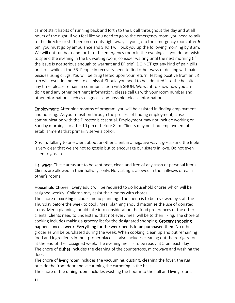cannot start habits of running back and forth to the ER all throughout the day and at all hours of the night. If you feel like you need to go to the emergency room, you need to talk to the director or staff person on duty right away. If you go to the emergency room after 6 pm, you must go by ambulance and SHOH will pick you up the following morning by 8 am. We will not run back and forth to the emergency room in the evenings. If you do not wish to spend the evening in the ER waiting room, consider waiting until the next morning (if the issue is not serious enough to warrant and ER trip). DO NOT get any kind of pain pills or shots while at the ER. People in recovery need to find other ways of dealing with pain besides using drugs. You will be drug tested upon your return. Testing positive from an ER trip will result in immediate dismissal. Should you need to be admitted into the hospital at any time, please remain in communication with SHOH. We want to know how you are doing and any other pertinent information, please call us with your room number and other information, such as diagnosis and possible release information.

Employment: After nine months of program, you will be assisted in finding employment and housing. As you transition through the process of finding employment, close communication with the Director is essential. Employment may not include working on Sunday mornings or after 10 pm or before 8am. Clients may not find employment at establishments that primarily serve alcohol.

Gossip: Talking to one client about another client in a negative way is gossip and the Bible is very clear that we are not to gossip but to encourage our sisters in love. Do not even listen to gossip.

Hallways: These areas are to be kept neat, clean and free of any trash or personal items. Clients are allowed in their hallways only. No visiting is allowed in the hallways or each other's rooms

Household Chores: Every adult will be required to do household chores which will be assigned weekly. Children may assist their moms with chores.

The chore of **cooking** includes menu planning. The menu is to be reviewed by staff the Thursday before the week to cook. Meal planning should maximize the use of donated items. Menu planning should take into consideration the food preferences of the other clients. Clients need to understand that not every meal will be to their liking. The chore of cooking includes making a grocery list for the designated shopping. Grocery shopping happens once a week. Everything for the week needs to be purchased then. No other groceries will be purchased during the week. When cooking, clean up and put remaining food and ingredients in their proper places. It also includes cleaning out the refrigerator at the end of their assigned week. The evening meal is to be ready at 5 pm each day. The chore of **dishes** includes the cleaning of the countertops, microwave and washing the floor.

The chore of living room includes the vacuuming, dusting, cleaning the foyer, the rug outside the front door and vacuuming the carpeting in the halls.

The chore of the dining room includes washing the floor into the hall and living room.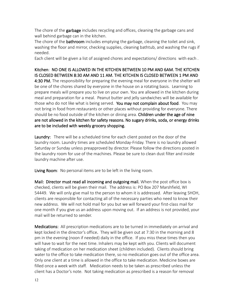The chore of the **garbage** includes recycling and offices, cleaning the garbage cans and wall behind garbage can in the kitchen.

The chore of the **bathroom** includes emptying the garbage, cleaning the toilet and sink, washing the floor and mirror, checking supplies, cleaning bathtub, and washing the rugs if needed.

Each client will be given a list of assigned chores and expectations/ directions with each .

Kitchen: NO ONE IS ALLOWED IN THE KITCHEN BETWEEN 10 PM AND 6AM. THE KITCHEN IS CLOSED BETWEEN 8:30 AM AND 11 AM. THE KITCHEN IS CLOSED BETWEEN 1 PM AND 4:30 PM. The responsibility for preparing the evening meal for everyone in the shelter will be one of the chores shared by everyone in the house on a rotating basis. Learning to prepare meals will prepare you to live on your own. You are allowed in the kitchen during meal and preparation for a meal. Peanut butter and jelly sandwiches will be available for those who do not like what is being served. You may not complain about food. You may not bring in food from restaurants or other places without providing for everyone. There should be no food outside of the kitchen or dining area. Children under the age of nine are not allowed in the kitchen for safety reasons. No sugary drinks, soda, or energy drinks are to be included with weekly grocery shopping.

Laundry: There will be a scheduled time for each client posted on the door of the laundry room. Laundry times are scheduled Monday-Friday. There is no laundry allowed Saturday or Sunday unless preapproved by director. Please follow the directions posted in the laundry room for use of the machines. Please be sure to clean dust filter and inside laundry machine after use.

Living Room: No personal items are to be left in the living room.

Mail: Director must read all incoming and outgoing mail. When the post office box is checked, clients will be given their mail. The address is: PO Box 207 Marshfield, WI 54449. We will only give mail to the person to whom it is addressed. After leaving SHOH, clients are responsible for contacting all of the necessary parties who need to know their new address. We will not hold mail for you but we will forward your first-class mail for one month if you give us an address upon moving out. If an address is not provided, your mail will be returned to sender.

Medications: All prescription medications are to be turned in immediately on arrival and kept locked in the director's office. They will be given out at 7:30 in the morning and 8 pm in the evening (noon if needed) daily in the office. If you miss these times then you will have to wait for the next time. Inhalers may be kept with you. Clients will document taking of medication on her medication sheet (children included). Clients should bring water to the office to take medication there, so no medication goes out of the office area. Only one client at a time is allowed in the office to take medication. Medicine boxes are filled once a week with staff. Medication needs to be taken as prescribed unless the client has a Doctor's note. Not taking medication as prescribed is a reason for removal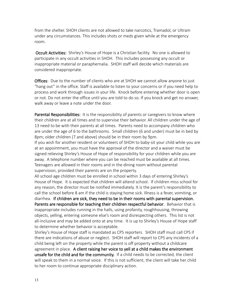from the shelter. SHOH clients are not allowed to take narcotics, Tramadol, or Ultram under any circumstances. This includes shots or meds given while at the emergency room.

 Occult Activities: Shirley's House of Hope is a Christian facility. No one is allowed to participate in any occult activities in SHOH. This includes possessing any occult or inappropriate material or paraphernalia. SHOH staff will decide which materials are considered inappropriate.

Offices: Due to the number of clients who are at SHOH we cannot allow anyone to just "hang out" in the office. Staff is available to listen to your concerns or if you need help to process and work through issues in your life. Knock before entering whether door is open or not. Do not enter the office until you are told to do so. If you knock and get no answer, walk away or leave a note under the door.

Parental Responsibilities: It is the responsibility of parents or caregivers to know where their children are at all times and to supervise their behavior. All children under the age of 13 need to be with their parents at all times. Parents need to accompany children who are under the age of 6 to the bathrooms. Small children (6 and under) must be in bed by 8pm; older children (7 and above) should be in their room by 9pm.

If you wish for another resident or volunteers of SHOH to baby-sit your child while you are at an appointment, you must have the approval of the director and a waiver must be signed relieving Shirley's House of Hope of responsibility for your children while you are away. A telephone number where you can be reached must be available at all times. Teenagers are allowed in their rooms and in the dining room without parental supervision, provided their parents are on the property.

All school age children must be enrolled in school within 3 days of entering Shirley's House of Hope. It is expected that children will attend school. If children miss school for any reason, the director must be notified immediately. It is the parent's responsibility to call the school before 8 am if the child is staying home sick. Illness is a fever, vomiting, or diarrhea. If children are sick, they need to be in their rooms with parental supervision. Parents are responsible for teaching their children respectful behavior. Behavior that is inappropriate includes running in the halls, using profanity, roughhousing, throwing objects, yelling, entering someone else's room and disrespecting others. This list is not all-inclusive and may be added onto at any time. It is up to Shirley's House of Hope staff to determine whether behavior is acceptable.

Shirley's House of Hope staff is mandated as CPS reporters. SHOH staff must call CPS if there are indications of abuse or neglect. SHOH staff will report to CPS any incidents of a child being left on the property while the parent is off property without a childcare agreement in place. A client raising her voice to yell at a child makes the environment unsafe for the child and for the community. If a child needs to be corrected, the client will speak to them in a normal voice. If this is not sufficient, the client will take her child to her room to continue appropriate disciplinary action.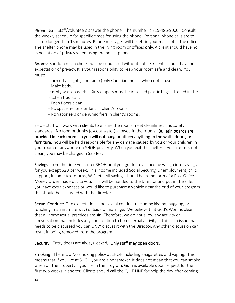Phone Use: Staff/volunteers answer the phone. The number is 715-486-9000. Consult the weekly schedule for specific times for using the phone. Personal phone calls are to last no longer than 15 minutes. Phone messages will be left in your mail slot in the office The shelter phone may be used in the living room or offices **only.** A client should have no expectation of privacy when using the house phone.

Rooms: Random room checks will be conducted without notice. Clients should have no expectation of privacy. It is your responsibility to keep your room safe and clean. You must:

-Turn off all lights, and radio (only Christian music) when not in use.

- Make beds.

-Empty wastebaskets. Dirty diapers must be in sealed plastic bags – tossed in the kitchen trashcan.

- Keep floors clean.
- No space heaters or fans in client's rooms
- No vaporizers or dehumidifiers in client's rooms.

SHOH staff will work with clients to ensure the rooms meet cleanliness and safety standards. No food or drinks (except water) allowed in the rooms. Bulletin boards are provided in each room- so you will not hang or attach anything to the walls, doors, or furniture. You will be held responsible for any damage caused by you or your children in your room or anywhere on SHOH property. When you exit the shelter if your room is not clean, you may be charged a \$25 fee.

Savings: from the time you enter SHOH until you graduate all income will go into savings for you except \$20 per week. This income included Social Security, Unemployment, child support, income tax returns, W-2, etc. All savings should be in the form of a Post Office Money Order made out to you. This will be handed to the Director and put in the safe. If you have extra expenses or would like to purchase a vehicle near the end of your program this should be discussed with the director.

Sexual Conduct: The expectation is no sexual conduct (including kissing, hugging, or touching in an intimate way) outside of marriage. We believe that God's Word is clear that all homosexual practices are sin. Therefore, we do not allow any activity or conversation that includes any connotation to homosexual activity. If this is an issue that needs to be discussed you can ONLY discuss it with the Director. Any other discussion can result in being removed from the program.

Security: Entry doors are always locked. Only staff may open doors.

Smoking: There is a No smoking policy at SHOH including e-cigarettes and vaping. This means that if you live at SHOH you are a nonsmoker. It does not mean that you can smoke when off the property if you are in the program. Gum is available upon request for the first two weeks in shelter. Clients should call the QUIT LINE for help the day after coming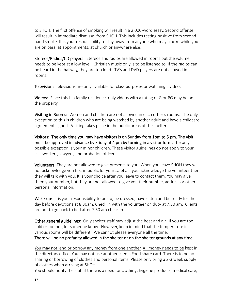to SHOH. The first offense of smoking will result in a 2,000-word essay. Second offense will result in immediate dismissal from SHOH. This includes testing positive from secondhand smoke. It is your responsibility to stay away from anyone who may smoke while you are on pass, at appointments, at church or anywhere else.

Stereos/Radios/CD players: Stereos and radios are allowed in rooms but the volume needs to be kept at a low level. Christian music only is to be listened to. If the radios can be heard in the hallway, they are too loud. TV's and DVD players are not allowed in rooms.

**Television:** Televisions are only available for class purposes or watching a video.

**Videos**: Since this is a family residence, only videos with a rating of G or PG may be on the property.

Visiting in Rooms: Women and children are not allowed in each other's rooms. The only exception to this is children who are being watched by another adult and have a childcare agreement signed. Visiting takes place in the public areas of the shelter.

Visitors: The only time you may have visitors is on Sunday from 1pm to 5 pm. The visit must be approved in advance by Friday at 4 pm by turning in a visitor form. The only possible exception is your minor children. These visitor guidelines do not apply to your caseworkers, lawyers, and probation officers.

**Volunteers**: They are not allowed to give presents to you. When you leave SHOH they will not acknowledge you first in public for your safety. If you acknowledge the volunteer then they will talk with you. It is your choice after you leave to contact them. You may give them your number, but they are not allowed to give you their number, address or other personal information.

Wake-up: It is your responsibility to be up, be dressed, have eaten and be ready for the day before devotions at 8:30am. Check in with the volunteer on duty at 7:30 am. Clients are not to go back to bed after 7:30 am check in.

Other general guidelines: Only shelter staff may adjust the heat and air. If you are too cold or too hot, let someone know. However, keep in mind that the temperature in various rooms will be different. We cannot please everyone all the time. There will be no profanity allowed in the shelter or on the shelter grounds at any time.

You may not lend or borrow any money from one another. All money needs to be kept in the directors office. You may not use another clients Food share card. There is to be no sharing or borrowing of clothes and personal items. Please only bring a 2-3 week supply of clothes when arriving at SHOH.

You should notify the staff if there is a need for clothing, hygiene products, medical care,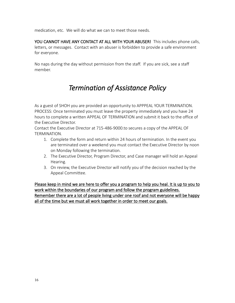medication, etc. We will do what we can to meet those needs.

YOU CANNOT HAVE ANY CONTACT AT ALL WITH YOUR ABUSER! This includes phone calls, letters, or messages. Contact with an abuser is forbidden to provide a safe environment for everyone.

No naps during the day without permission from the staff. If you are sick, see a staff member.

# *Termination of Assistance Policy*

As a guest of SHOH you are provided an opportunity to APPPEAL YOUR TERMINATION. PROCESS: Once terminated you must leave the property immediately and you have 24 hours to complete a written APPEAL OF TERMINATION and submit it back to the office of the Executive Director.

Contact the Executive Director at 715-486-9000.to secures a copy of the APPEAL OF TERMINATION.

- 1. Complete the form and return within 24 hours of termination. In the event you are terminated over a weekend you must contact the Executive Director by noon on Monday following the termination.
- 2. The Executive Director, Program Director, and Case manager will hold an Appeal Hearing.
- 3. On review, the Executive Director will notify you of the decision reached by the Appeal Committee.

Please keep in mind we are here to offer you a program to help you heal. It is up to you to work within the boundaries of our program and follow the program guidelines. Remember there are a lot of people living under one roof and not everyone will be happy all of the time but we must all work together in order to meet our goals.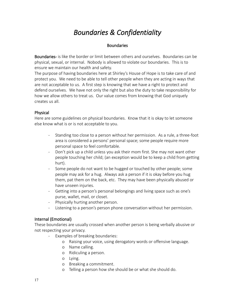# *Boundaries & Confidentiality*

#### **Boundaries**

Boundaries- is like the border or limit between others and ourselves. Boundaries can be physical, sexual, or internal. Nobody is allowed to violate our boundaries. This is to ensure we maintain our health and safety.

The purpose of having boundaries here at Shirley's House of Hope is to take care of and protect you. We need to be able to tell other people when they are acting in ways that are not acceptable to us. A first step is knowing that we have a right to protect and defend ourselves. We have not only the right but also the duty to take responsibility for how we allow others to treat us. Our value comes from knowing that God uniquely creates us all.

#### Physical

Here are some guidelines on physical boundaries. Know that it is okay to let someone else know what is or is not acceptable to you.

- Standing too close to a person without her permission. As a rule, a three-foot area is considered a persons' personal space; some people require more personal space to feel comfortable.
- Don't pick up a child unless you ask their mom first. She may not want other people touching her child; (an exception would be to keep a child from getting hurt).
- Some people do not want to be hugged or touched by other people; some people may ask for a hug. Always ask a person if it is okay before you hug them, pat them on the back, etc. They may have been physically abused or have unseen injuries.
- Getting into a person's personal belongings and living space such as one's purse, wallet, mail, or closet.
- Physically hurting another person.
- Listening to a person's person phone conversation without her permission.

#### Internal (Emotional)

These boundaries are usually crossed when another person is being verbally abusive or not respecting your privacy.

- Examples of breaking boundaries:
	- o Raising your voice, using derogatory words or offensive language.
	- o Name calling.
	- o Ridiculing a person.
	- o Lying.
	- o Breaking a commitment.
	- o Telling a person how she should be or what she should do.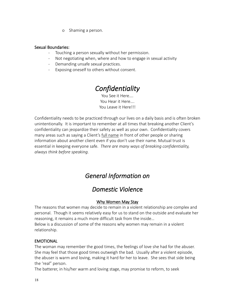o Shaming a person.

#### Sexual Boundaries:

- Touching a person sexually without her permission.
- Not negotiating when, where and how to engage in sexual activity
- Demanding unsafe sexual practices.
- Exposing oneself to others without consent.

### *Confidentiality*

You See it Here…. You Hear it Here…. You Leave it Here!!!

Confidentiality needs to be practiced through our lives on a daily basis and is often broken unintentionally. It is important to remember at all times that breaking another Client's confidentiality can jeopardize their safety as well as your own. Confidentiality covers many areas such as saying a Client's full name in front of other people or sharing information about another client even if you don't use their name. Mutual trust is essential in keeping everyone safe. *There are many ways of breaking confidentiality, always think before speaking.*

### *General Information on*

### *Domestic Violenc*e

#### Why Women May Stay

The reasons that women may decide to remain in a violent relationship are complex and personal. Though it seems relatively easy for us to stand on the outside and evaluate her reasoning, it remains a much more difficult task from the inside…

Below is a discussion of some of the reasons why women may remain in a violent relationship.

#### EMOTIONAL

The woman may remember the good times, the feelings of love she had for the abuser. She may feel that those good times outweigh the bad. Usually after a violent episode, the abuser is warm and loving, making it hard for her to leave. She sees that side being the 'real" person.

The batterer, in his/her warm and loving stage, may promise to reform, to seek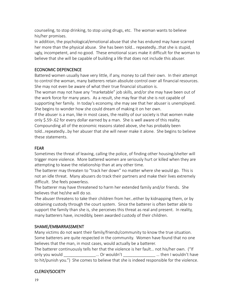counseling, to stop drinking, to stop using drugs, etc. The woman wants to believe his/her promises.

In addition, the psychological/emotional abuse that she has endured may have scarred her more than the physical abuse. She has been told… repeatedly…that she is stupid, ugly, incompetent, and no good. These emotional scars make it difficult for the woman to believe that she will be capable of building a life that does not include this abuser.

#### ECONOMIC DEPENCENCE

Battered women usually have very little, if any, money to call their own. In their attempt to control the woman, many batterers retain absolute control over all financial resources. She may not even be aware of what their true financial situation is.

The woman may not have any "marketable" job skills, and/or she may have been out of the work force for many years. As a result, she may fear that she is not capable of supporting her family. In today's economy, she may see that her abuser is unemployed. She begins to wonder how she could dream of making it on her own.

If the abuser is a man, like in most cases, the reality of our society is that women make only \$.59-.62 for every dollar earned by a man. She is well aware of this reality. Compounding all of the economic reasons stated above, she has probably been

told…repeatedly…by her abuser that she will never make it alone. She begins to believe these statements.

#### FEAR

Sometimes the threat of leaving, calling the police, of finding other housing/shelter will trigger more violence. More battered women are seriously hurt or killed when they are attempting to leave the relationship than at any other time.

The batterer may threaten to "track her down" no matter where she would go. This is not an idle threat. Many abusers do track their partners and make their lives extremely difficult. She feels powerless.

The batterer may have threatened to harm her extended family and/or friends. She believes that he/she will do so.

The abuser threatens to take their children from her…either by kidnapping them, or by obtaining custody through the court system. Since the batterer is often better able to support the family than she is, she perceives this threat as real and present. In reality, many batterers have, incredibly, been awarded custody of their children.

#### SHAME/EMBARRASSMENT

Many victims do not want their family/friends/community to know the true situation. Some batterers are quite respected in the community. Women have found that no one believes that the man, in most cases, would actually be a batterer.

The batterer continuously tells her that the violence is her fault… not his/her own. ("If only you would contact the conduct of the contact of the conduct of the conduct of the conduct of the conduct o to hit/punish you.") She comes to believe that she is indeed responsible for the violence.

#### CLERGY/SOCIETY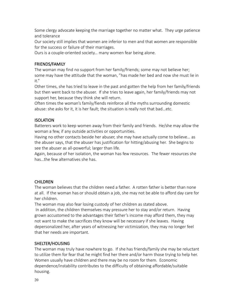Some clergy advocate keeping the marriage together no matter what. They urge patience and tolerance

Our society still implies that women are inferior to men and that women are responsible for the success or failure of their marriages.

Ours is a couple-oriented society… many women fear being alone.

#### FRIENDS/FAMILY

The woman may find no support from her family/friends; some may not believe her; some may have the attitude that the woman, "has made her bed and now she must lie in it."

Other times, she has tried to leave in the past and gotten the help from her family/friends but then went back to the abuser. If she tries to leave again, her family/friends may not support her, because they think she will return.

Often times the woman's family/fiends reinforce all the myths surrounding domestic abuse: she asks for it, it is her fault; the situation is really not that bad…etc.

#### **ISOLATION**

Batterers work to keep women away from their family and friends. He/she may allow the woman a few, if any outside activities or opportunities.

Having no other contacts beside her abuser, she may have actually come to believe… as the abuser says, that the abuser has justification for hitting/abusing her. She begins to see the abuser as all-powerful; larger than life.

Again, because of her isolation, the woman has few resources. The fewer resources she has…the few alternatives she has.

#### CHILDREN

The woman believes that the children need a father. A rotten father is better than none at all. If the woman has or should obtain a job, she may not be able to afford day care for her children.

The woman may also fear losing custody of her children as stated above. In addition, the children themselves may pressure her to stay and/or return. Having grown accustomed to the advantages their father's income may afford them, they may not want to make the sacrifices they know will be necessary if she leaves. Having depersonalized her, after years of witnessing her victimization, they may no longer feel that her needs are important.

#### SHELTER/HOUSING

The woman may truly have nowhere to go. If she has friends/family she may be reluctant to utilize them for fear that he might find her there and/or harm those trying to help her. Women usually have children and there may be no room for them. Economic dependence/instability contributes to the difficulty of obtaining affordable/suitable housing.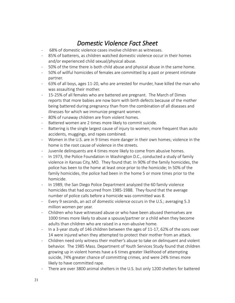### *Domestic Violence Fact Sheet*

- 68% of domestic violence cases involve children as witnesses.
- 85% of batterers, as children watched domestic violence occur in their homes and/or experienced child sexual/physical abuse.
- 50% of the time there is both child abuse and physical abuse in the same home.
- 50% of willful homicides of females are committed by a past or present intimate partner.
- 63% of all boys, ages 11-20, who are arrested for murder, have killed the man who was assaulting their mother.
- 15-25% of all females who are battered are pregnant. The March of Dimes reports that more babies are now born with birth defects because of the mother being battered during pregnancy than from the combination of all diseases and illnesses for which we immunize pregnant women.
- 80% of runaway children are from violent homes.
- Battered women are 2 times more likely to commit suicide.
- Battering is the single largest cause of injury to women; more frequent than auto accidents, muggings, and rapes combined.
- Women in the U.S. are in 9 times more danger in their own homes; violence in the home is the root cause of violence in the streets.
- Juvenile delinquents are 4 times more likely to come from abusive homes.
- In 1973, the Police Foundation in Washington D.C., conducted a study of family violence in Kansas City, MO. They found that: In 90% of the family homicides, the police has been to the home at least once prior to the homicide; In 50% of the family homicides, the police had been in the home 5 or more times prior to the homicide.
- In 1989, the San Diego Police Department analyzed the 60 family violence homicides that had occurred from 1985-1988. They found that the average number of police calls before a homicide was committed was 8.
- Every 9 seconds, an act of domestic violence occurs in the U.S.; averaging 5.3 million women per year.
- Children who have witnessed abuse or who have been abused themselves are 1000 times more likely to abuse a spouse/partner or a child when they become adults than children who are raised in a non-abusive home.
- In a 3-year study of 146 children between the ages of 11-17, 62% of the sons over 14 were injured when they attempted to protect their mother from an attack.
- Children need only witness their mother's abuse to take on delinquent and violent behavior. The 1985 Mass. Department of Youth Services Study found that children growing up in violent homes have a 6 times greater likelihood of attempting suicide, 74% greater chance of committing crimes, and were 24% times more likely to have committed rape.
- There are over 3800 animal shelters in the U.S. but only 1200 shelters for battered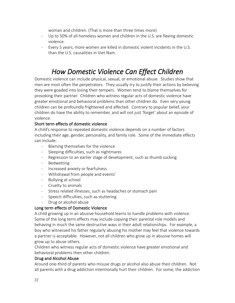woman and children. (That is more than three times more)

- Up to 50% of all homeless women and children in the U.S. are fleeing domestic violence.
- Every 5 years, more women are killed in domestic violent incidents in the U.S. than the U.S. causalities in Viet Nam.

### *How Domestic Violence Can Effect Children*

Domestic violence can include physical, sexual, or emotional abuse. Studies show that men are most often the perpetrators. They usually try to justify their actions by believing they were goaded into losing their tempers. Women tend to blame themselves for provoking their partner. Children who witness regular acts of domestic violence have greater emotional and behavioral problems than other children do. Even very young children can be profoundly frightened and affected. Contrary to popular belief, your children do have the ability to remember, and will not just 'forget' about an episode of violence.

#### Short term effects of domestic violence

A child's response to repeated domestic violence depends on a number of factors including their age, gender, personality, and family role. Some of the immediate effects can include:

- Blaming themselves for the violence
- Sleeping difficulties, such as nightmares
- Regression to an earlier stage of development, such as thumb sucking
- Bedwetting
- Increased anxiety or fearfulness
- Withdrawal from people and events'
- Bullying at school
- Cruelty to animals
- Stress related illnesses, such as headaches or stomach pain
- Speech difficulties, such as stuttering
- Drug or alcohol abuse

#### Long term effects of Domestic Violence

A child growing up in an abusive household learns to handle problems with violence. Some of the long term effects may include copying their parental role models and behaving in much the same destructive ways in their adult relationships. For example, a boy who witnessed his father regularly abusing his mother may feel that violence towards a partner is acceptable. However, not all children who grow up in abusive homes will grow up to abuse others.

Children who witness regular acts of domestic violence have greater emotional and behavioral problems then other children.

#### Drug and Alcohol Abuse

Around one-third of parents who misuse drugs or alcohol also abuse their children. Not all parents with a drug addiction intentionally hurt their children. For some, the addiction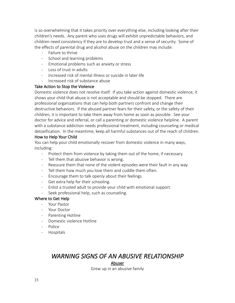is so overwhelming that it takes priority over everything else, including looking after their children's needs. Any parent who uses drugs will exhibit unpredictable behaviors, and children need consistency if they are to develop trust and a sense of security. Some of the effects of parental drug and alcohol abuse on the children may include:

- Failure to thrive
- School and learning problems
- Emotional problems such as anxiety or stress
- Loss of trust in adults
- Increased risk of mental illness or suicide in later life
- Increased risk of substance abuse

#### Take Action to Stop the Violence

Domestic violence does not resolve itself. If you take action against domestic violence, it shows your child that abuse is not acceptable and should be stopped. There are professional organizations that can help both partners confront and change their destructive behaviors. If the abused partner fears for their safety, or the safety of their children, it is important to take them away from home as soon as possible. See your doctor for advice and referral, or call a parenting or domestic violence helpline. A parent with a substance addiction needs professional treatment, including counseling or medical detoxification. In the meantime, keep all harmful substances out of the reach of children.

#### How to Help Your Child

You can help your child emotionally recover from domestic violence in many ways, including:

- Protect them from violence by taking them out of the home, if necessary.
- Tell them that abusive behavior is wrong.
- Reassure them that none of the violent episodes were their fault in any way.
- Tell them how much you love them and cuddle them often.
- Encourage them to talk openly about their feelings.
- Get extra help for their schooling.
- Enlist a trusted adult to provide your child with emotional support.
- Seek professional help, such as counseling.

#### Where to Get Help

- Your Pastor
- Your Doctor
- Parenting Hotline
- Domestic violence Hotline
- Police
- Hospitals

### *WARNING SIGNS OF AN ABUSIVE RELATIONSHIP*

#### Abuser

Grew up in an abusive family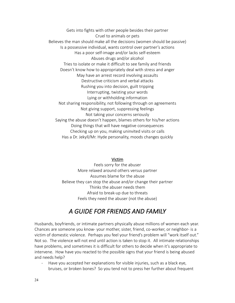Gets into fights with other people besides their partner Cruel to animals or pets Believes the man should make all the decisions (women should be passive) Is a possessive individual, wants control over partner's actions Has a poor self-image and/or lacks self-esteem Abuses drugs and/or alcohol Tries to isolate or make it difficult to see family and friends Doesn't know how to appropriately deal with stress and anger May have an arrest record involving assaults Destructive criticism and verbal attacks Rushing you into decision, guilt tripping Interrupting, twisting your words Lying or withholding information Not sharing responsibility, not following through on agreements Not giving support, suppressing feelings Not taking your concerns seriously Saying the abuse doesn't happen, blames others for his/her actions Doing things that will have negative consequences Checking up on you, making uninvited visits or calls Has a Dr. Jekyll/Mr. Hyde personality, moods changes quickly

#### Victim

Feels sorry for the abuser More relaxed around others versus partner Assumes blame for the abuse Believe they can stop the abuse and/or change their partner Thinks the abuser needs them Afraid to break-up due to threats Feels they need the abuser (not the abuse)

### *A GUIDE FOR FRIENDS AND FAMILY*

Husbands, boyfriends, or intimate partners physically abuse millions of women each year. Chances are someone you know- your mother, sister, friend, co-worker, or neighbor- is a victim of domestic violence. Perhaps you feel your friend's problem will "work itself out." Not so. The violence will not end until action is taken to stop it. All intimate relationships have problems, and sometimes it is difficult for others to decide when it's appropriate to intervene. How have you reacted to the possible signs that your friend is being abused and needs help?

Have you accepted her explanations for visible injuries, such as a black eye, bruises, or broken bones? So you tend not to press her further about frequent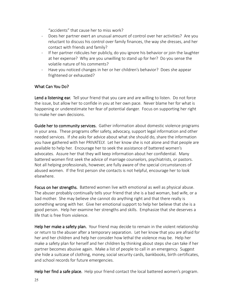"accidents" that cause her to miss work?

- Does her partner exert an unusual amount of control over her activities? Are you reluctant to discuss his control over family finances, the way she dresses, and her contact with friends and family?
- If her partner ridicules her publicly, do you ignore his behavior or join the laughter at her expense? Why are you unwilling to stand up for her? Do you sense the volatile nature of his comments?
- Have you noticed changes in her or her children's behavior? Does she appear frightened or exhausted?

#### What Can You Do?

Lend a listening ear. Tell your friend that you care and are willing to listen. Do not force the issue, but allow her to confide in you at her own pace. Never blame her for what is happening or underestimate her fear of potential danger. Focus on supporting her right to make her own decisions.

Guide her to community services. Gather information about domestic violence programs in your area. These programs offer safety, advocacy, support legal information and other needed services. If she asks for advice about what she should do, share the information you have gathered with her PRIVATELY. Let her know she is not alone and that people are available to help her. Encourage her to seek the assistance of battered women's advocates. Assure her that they will keep information about her confidential. Many battered women first seek the advice of marriage counselors, psychiatrists, or pastors. Not all helping professionals, however, are fully aware of the special circumstances of abused women. If the first person she contacts is not helpful, encourage her to look elsewhere.

Focus on her strengths. Battered women live with emotional as well as physical abuse. The abuser probably continually tells your friend that she is a bad woman, bad wife, or a bad mother. She may believe she cannot do anything right and that there really is something wrong with her. Give her emotional support to help her believe that she is a good person. Help her examine her strengths and skills. Emphasize that she deserves a life that is free from violence.

Help her make a safety plan. Your friend may decide to remain in the violent relationship or return to the abuser after a temporary separation. Let her know that you are afraid for her and her children and help her consider how lethal the violence may be. Help her make a safety plan for herself and her children by thinking about steps she can take if her partner becomes abusive again. Make a list of people to call in an emergency. Suggest she hide a suitcase of clothing, money, social security cards, bankbooks, birth certificates, and school records for future emergencies.

Help her find a safe place. Help your friend contact the local battered women's program.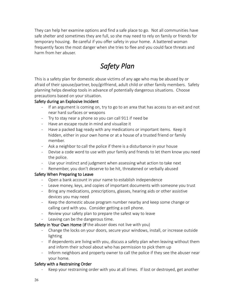They can help her examine options and find a safe place to go. Not all communities have safe shelter and sometimes they are full, so she may need to rely on family or friends for temporary housing. Be careful if you offer safety in your home. A battered woman frequently faces the most danger when she tries to flee and you could face threats and harm from her abuser.

# *Safety Plan*

This is a safety plan for domestic abuse victims of any age who may be abused by or afraid of their spouse/partner, boy/girlfriend, adult child or other family members. Safety planning helps develop tools in advance of potentially dangerous situations. Choose precautions based on your situation.

#### Safety during an Explosive Incident

- If an argument is coming on, try to go to an area that has access to an exit and not near hard surfaces or weapons
- Try to stay near a phone so you can call 911 if need be
- Have an escape route in mind and visualize it
- Have a packed bag ready with any medications or important items. Keep it hidden, either in your own home or at a house of a trusted friend or family member.
- Ask a neighbor to call the police if there is a disturbance in your house
- Devise a code word to use with your family and friends to let them know you need the police.
- Use your instinct and judgment when assessing what action to take next
- Remember, you don't deserve to be hit, threatened or verbally abused

#### Safety When Preparing to Leave

- Open a bank account in your name to establish independence
- Leave money, keys, and copies of important documents with someone you trust
- Bring any medications, prescriptions, glasses, hearing aids or other assistive devices you may need
- Keep the domestic abuse program number nearby and keep some change or calling card with you. Consider getting a cell phone.
- Review your safety plan to prepare the safest way to leave
- Leaving can be the dangerous time.

Safety in Your Own Home (if the abuser does not live with you)

- Change the locks on your doors, secure your windows, install, or increase outside lighting
- If dependents are living with you, discuss a safety plan when leaving without them and inform their school about who has permission to pick them up
- Inform neighbors and property owner to call the police if they see the abuser near your home.

#### Safety with a Restraining Order

Keep your restraining order with you at all times. If lost or destroyed, get another